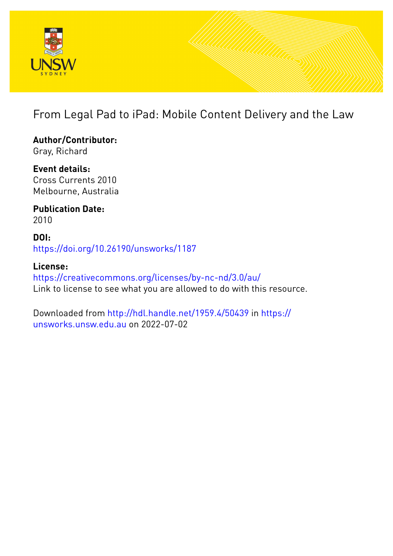

# From Legal Pad to iPad: Mobile Content Delivery and the Law

**Author/Contributor:** Gray, Richard

**Event details:** Cross Currents 2010 Melbourne, Australia

**Publication Date:** 2010

**DOI:** [https://doi.org/10.26190/unsworks/1187](http://dx.doi.org/https://doi.org/10.26190/unsworks/1187)

**License:** <https://creativecommons.org/licenses/by-nc-nd/3.0/au/> Link to license to see what you are allowed to do with this resource.

Downloaded from <http://hdl.handle.net/1959.4/50439> in [https://](https://unsworks.unsw.edu.au) [unsworks.unsw.edu.au](https://unsworks.unsw.edu.au) on 2022-07-02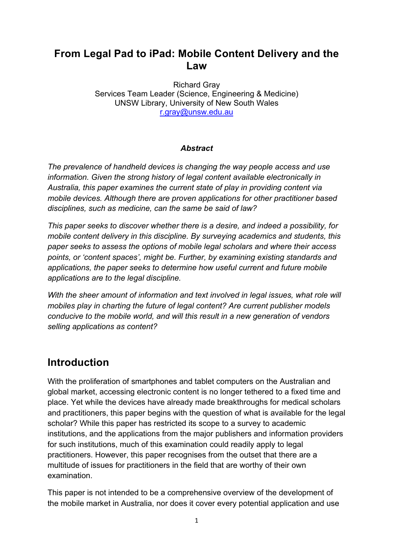### **From Legal Pad to iPad: Mobile Content Delivery and the Law**

Richard Gray Services Team Leader (Science, Engineering & Medicine) UNSW Library, University of New South Wales r.gray@unsw.edu.au

#### *Abstract*

*The prevalence of handheld devices is changing the way people access and use information. Given the strong history of legal content available electronically in Australia, this paper examines the current state of play in providing content via mobile devices. Although there are proven applications for other practitioner based disciplines, such as medicine, can the same be said of law?* 

*This paper seeks to discover whether there is a desire, and indeed a possibility, for mobile content delivery in this discipline. By surveying academics and students, this paper seeks to assess the options of mobile legal scholars and where their access points, or 'content spaces', might be. Further, by examining existing standards and applications, the paper seeks to determine how useful current and future mobile applications are to the legal discipline.* 

*With the sheer amount of information and text involved in legal issues, what role will mobiles play in charting the future of legal content? Are current publisher models conducive to the mobile world, and will this result in a new generation of vendors selling applications as content?*

### **Introduction**

With the proliferation of smartphones and tablet computers on the Australian and global market, accessing electronic content is no longer tethered to a fixed time and place. Yet while the devices have already made breakthroughs for medical scholars and practitioners, this paper begins with the question of what is available for the legal scholar? While this paper has restricted its scope to a survey to academic institutions, and the applications from the major publishers and information providers for such institutions, much of this examination could readily apply to legal practitioners. However, this paper recognises from the outset that there are a multitude of issues for practitioners in the field that are worthy of their own examination.

This paper is not intended to be a comprehensive overview of the development of the mobile market in Australia, nor does it cover every potential application and use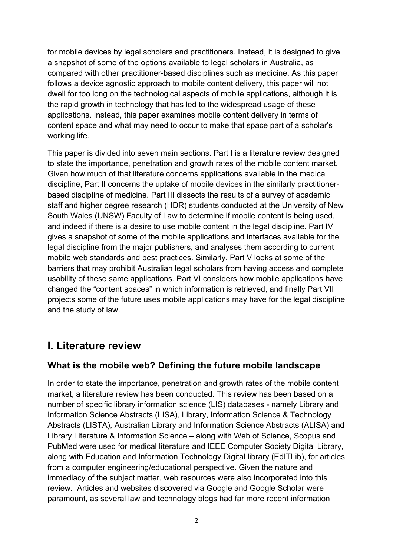for mobile devices by legal scholars and practitioners. Instead, it is designed to give a snapshot of some of the options available to legal scholars in Australia, as compared with other practitioner-based disciplines such as medicine. As this paper follows a device agnostic approach to mobile content delivery, this paper will not dwell for too long on the technological aspects of mobile applications, although it is the rapid growth in technology that has led to the widespread usage of these applications. Instead, this paper examines mobile content delivery in terms of content space and what may need to occur to make that space part of a scholar's working life.

This paper is divided into seven main sections. Part I is a literature review designed to state the importance, penetration and growth rates of the mobile content market. Given how much of that literature concerns applications available in the medical discipline, Part II concerns the uptake of mobile devices in the similarly practitionerbased discipline of medicine. Part III dissects the results of a survey of academic staff and higher degree research (HDR) students conducted at the University of New South Wales (UNSW) Faculty of Law to determine if mobile content is being used, and indeed if there is a desire to use mobile content in the legal discipline. Part IV gives a snapshot of some of the mobile applications and interfaces available for the legal discipline from the major publishers, and analyses them according to current mobile web standards and best practices. Similarly, Part V looks at some of the barriers that may prohibit Australian legal scholars from having access and complete usability of these same applications. Part VI considers how mobile applications have changed the "content spaces" in which information is retrieved, and finally Part VII projects some of the future uses mobile applications may have for the legal discipline and the study of law.

### **I. Literature review**

### **What is the mobile web? Defining the future mobile landscape**

In order to state the importance, penetration and growth rates of the mobile content market, a literature review has been conducted. This review has been based on a number of specific library information science (LIS) databases - namely Library and Information Science Abstracts (LISA), Library, Information Science & Technology Abstracts (LISTA), Australian Library and Information Science Abstracts (ALISA) and Library Literature & Information Science – along with Web of Science, Scopus and PubMed were used for medical literature and IEEE Computer Society Digital Library, along with Education and Information Technology Digital library (EdITLib), for articles from a computer engineering/educational perspective. Given the nature and immediacy of the subject matter, web resources were also incorporated into this review. Articles and websites discovered via Google and Google Scholar were paramount, as several law and technology blogs had far more recent information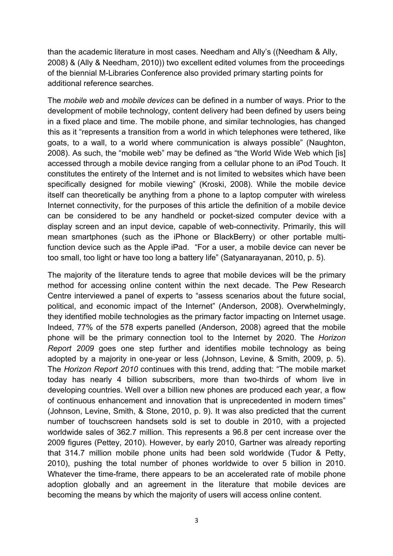than the academic literature in most cases. Needham and Ally's ((Needham & Ally, 2008) & (Ally & Needham, 2010)) two excellent edited volumes from the proceedings of the biennial M-Libraries Conference also provided primary starting points for additional reference searches.

The *mobile web* and *mobile devices* can be defined in a number of ways. Prior to the development of mobile technology, content delivery had been defined by users being in a fixed place and time. The mobile phone, and similar technologies, has changed this as it "represents a transition from a world in which telephones were tethered, like goats, to a wall, to a world where communication is always possible" (Naughton, 2008). As such, the "mobile web" may be defined as "the World Wide Web which [is] accessed through a mobile device ranging from a cellular phone to an iPod Touch. It constitutes the entirety of the Internet and is not limited to websites which have been specifically designed for mobile viewing" (Kroski, 2008). While the mobile device itself can theoretically be anything from a phone to a laptop computer with wireless Internet connectivity, for the purposes of this article the definition of a mobile device can be considered to be any handheld or pocket-sized computer device with a display screen and an input device, capable of web-connectivity. Primarily, this will mean smartphones (such as the iPhone or BlackBerry) or other portable multifunction device such as the Apple iPad. "For a user, a mobile device can never be too small, too light or have too long a battery life" (Satyanarayanan, 2010, p. 5).

The majority of the literature tends to agree that mobile devices will be the primary method for accessing online content within the next decade. The Pew Research Centre interviewed a panel of experts to "assess scenarios about the future social, political, and economic impact of the Internet" (Anderson, 2008). Overwhelmingly, they identified mobile technologies as the primary factor impacting on Internet usage. Indeed, 77% of the 578 experts panelled (Anderson, 2008) agreed that the mobile phone will be the primary connection tool to the Internet by 2020. The *Horizon Report 2009* goes one step further and identifies mobile technology as being adopted by a majority in one-year or less (Johnson, Levine, & Smith, 2009, p. 5). The *Horizon Report 2010* continues with this trend, adding that: "The mobile market today has nearly 4 billion subscribers, more than two-thirds of whom live in developing countries. Well over a billion new phones are produced each year, a flow of continuous enhancement and innovation that is unprecedented in modern times" (Johnson, Levine, Smith, & Stone, 2010, p. 9). It was also predicted that the current number of touchscreen handsets sold is set to double in 2010, with a projected worldwide sales of 362.7 million. This represents a 96.8 per cent increase over the 2009 figures (Pettey, 2010). However, by early 2010, Gartner was already reporting that 314.7 million mobile phone units had been sold worldwide (Tudor & Petty, 2010), pushing the total number of phones worldwide to over 5 billion in 2010. Whatever the time-frame, there appears to be an accelerated rate of mobile phone adoption globally and an agreement in the literature that mobile devices are becoming the means by which the majority of users will access online content.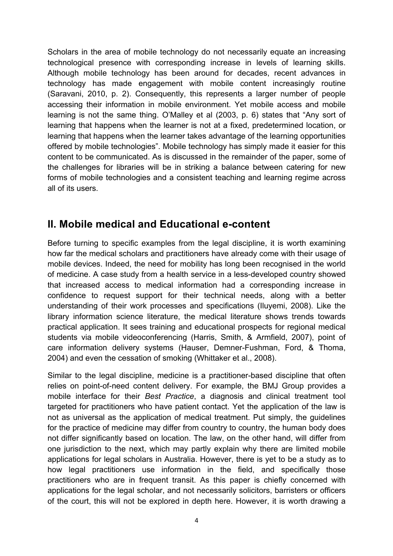Scholars in the area of mobile technology do not necessarily equate an increasing technological presence with corresponding increase in levels of learning skills. Although mobile technology has been around for decades, recent advances in technology has made engagement with mobile content increasingly routine (Saravani, 2010, p. 2). Consequently, this represents a larger number of people accessing their information in mobile environment. Yet mobile access and mobile learning is not the same thing. O'Malley et al (2003, p. 6) states that "Any sort of learning that happens when the learner is not at a fixed, predetermined location, or learning that happens when the learner takes advantage of the learning opportunities offered by mobile technologies". Mobile technology has simply made it easier for this content to be communicated. As is discussed in the remainder of the paper, some of the challenges for libraries will be in striking a balance between catering for new forms of mobile technologies and a consistent teaching and learning regime across all of its users.

### **II. Mobile medical and Educational e-content**

Before turning to specific examples from the legal discipline, it is worth examining how far the medical scholars and practitioners have already come with their usage of mobile devices. Indeed, the need for mobility has long been recognised in the world of medicine. A case study from a health service in a less-developed country showed that increased access to medical information had a corresponding increase in confidence to request support for their technical needs, along with a better understanding of their work processes and specifications (Iluyemi, 2008). Like the library information science literature, the medical literature shows trends towards practical application. It sees training and educational prospects for regional medical students via mobile videoconferencing (Harris, Smith, & Armfield, 2007), point of care information delivery systems (Hauser, Demner-Fushman, Ford, & Thoma, 2004) and even the cessation of smoking (Whittaker et al., 2008).

Similar to the legal discipline, medicine is a practitioner-based discipline that often relies on point-of-need content delivery. For example, the BMJ Group provides a mobile interface for their *Best Practice*, a diagnosis and clinical treatment tool targeted for practitioners who have patient contact. Yet the application of the law is not as universal as the application of medical treatment. Put simply, the guidelines for the practice of medicine may differ from country to country, the human body does not differ significantly based on location. The law, on the other hand, will differ from one jurisdiction to the next, which may partly explain why there are limited mobile applications for legal scholars in Australia. However, there is yet to be a study as to how legal practitioners use information in the field, and specifically those practitioners who are in frequent transit. As this paper is chiefly concerned with applications for the legal scholar, and not necessarily solicitors, barristers or officers of the court, this will not be explored in depth here. However, it is worth drawing a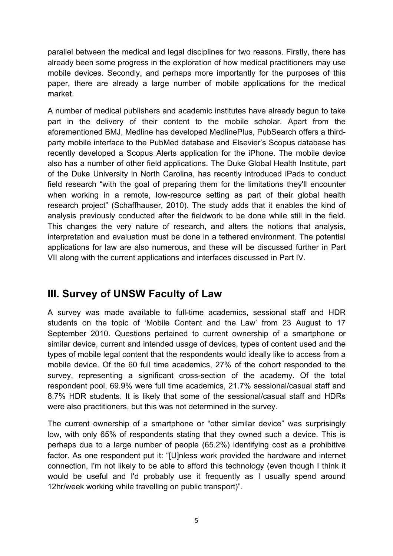parallel between the medical and legal disciplines for two reasons. Firstly, there has already been some progress in the exploration of how medical practitioners may use mobile devices. Secondly, and perhaps more importantly for the purposes of this paper, there are already a large number of mobile applications for the medical market.

A number of medical publishers and academic institutes have already begun to take part in the delivery of their content to the mobile scholar. Apart from the aforementioned BMJ, Medline has developed MedlinePlus, PubSearch offers a thirdparty mobile interface to the PubMed database and Elsevier's Scopus database has recently developed a Scopus Alerts application for the iPhone. The mobile device also has a number of other field applications. The Duke Global Health Institute, part of the Duke University in North Carolina, has recently introduced iPads to conduct field research "with the goal of preparing them for the limitations they'll encounter when working in a remote, low-resource setting as part of their global health research project" (Schaffhauser, 2010). The study adds that it enables the kind of analysis previously conducted after the fieldwork to be done while still in the field. This changes the very nature of research, and alters the notions that analysis, interpretation and evaluation must be done in a tethered environment. The potential applications for law are also numerous, and these will be discussed further in Part VII along with the current applications and interfaces discussed in Part IV.

### **III. Survey of UNSW Faculty of Law**

A survey was made available to full-time academics, sessional staff and HDR students on the topic of 'Mobile Content and the Law' from 23 August to 17 September 2010. Questions pertained to current ownership of a smartphone or similar device, current and intended usage of devices, types of content used and the types of mobile legal content that the respondents would ideally like to access from a mobile device. Of the 60 full time academics, 27% of the cohort responded to the survey, representing a significant cross-section of the academy. Of the total respondent pool, 69.9% were full time academics, 21.7% sessional/casual staff and 8.7% HDR students. It is likely that some of the sessional/casual staff and HDRs were also practitioners, but this was not determined in the survey.

The current ownership of a smartphone or "other similar device" was surprisingly low, with only 65% of respondents stating that they owned such a device. This is perhaps due to a large number of people (65.2%) identifying cost as a prohibitive factor. As one respondent put it: "[U]nless work provided the hardware and internet connection, I'm not likely to be able to afford this technology (even though I think it would be useful and I'd probably use it frequently as I usually spend around 12hr/week working while travelling on public transport)".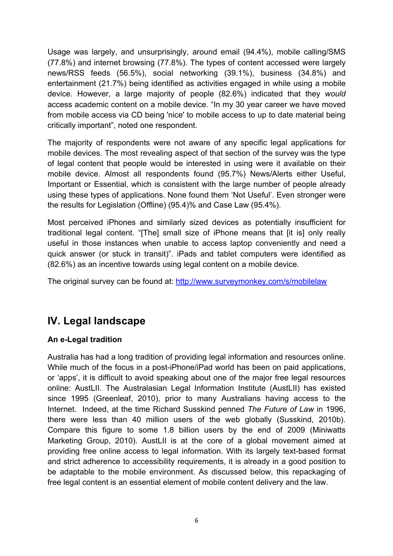Usage was largely, and unsurprisingly, around email (94.4%), mobile calling/SMS (77.8%) and internet browsing (77.8%). The types of content accessed were largely news/RSS feeds (56.5%), social networking (39.1%), business (34.8%) and entertainment (21.7%) being identified as activities engaged in while using a mobile device. However, a large majority of people (82.6%) indicated that they *would* access academic content on a mobile device. "In my 30 year career we have moved from mobile access via CD being 'nice' to mobile access to up to date material being critically important", noted one respondent.

The majority of respondents were not aware of any specific legal applications for mobile devices. The most revealing aspect of that section of the survey was the type of legal content that people would be interested in using were it available on their mobile device. Almost all respondents found (95.7%) News/Alerts either Useful, Important or Essential, which is consistent with the large number of people already using these types of applications. None found them 'Not Useful'. Even stronger were the results for Legislation (Offline) (95.4)% and Case Law (95.4%).

Most perceived iPhones and similarly sized devices as potentially insufficient for traditional legal content. "[The] small size of iPhone means that [it is] only really useful in those instances when unable to access laptop conveniently and need a quick answer (or stuck in transit)". iPads and tablet computers were identified as (82.6%) as an incentive towards using legal content on a mobile device.

The original survey can be found at: http://www.surveymonkey.com/s/mobilelaw

### **IV. Legal landscape**

#### **An e-Legal tradition**

Australia has had a long tradition of providing legal information and resources online. While much of the focus in a post-iPhone/iPad world has been on paid applications, or 'apps', it is difficult to avoid speaking about one of the major free legal resources online: AustLII. The Australasian Legal Information Institute (AustLII) has existed since 1995 (Greenleaf, 2010), prior to many Australians having access to the Internet. Indeed, at the time Richard Susskind penned *The Future of Law* in 1996, there were less than 40 million users of the web globally (Susskind, 2010b). Compare this figure to some 1.8 billion users by the end of 2009 (Miniwatts Marketing Group, 2010). AustLII is at the core of a global movement aimed at providing free online access to legal information. With its largely text-based format and strict adherence to accessibility requirements, it is already in a good position to be adaptable to the mobile environment. As discussed below, this repackaging of free legal content is an essential element of mobile content delivery and the law.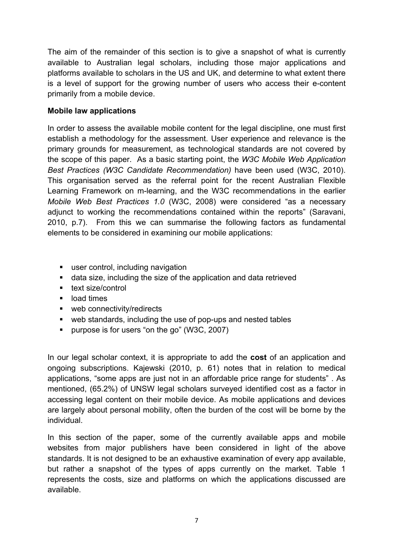The aim of the remainder of this section is to give a snapshot of what is currently available to Australian legal scholars, including those major applications and platforms available to scholars in the US and UK, and determine to what extent there is a level of support for the growing number of users who access their e-content primarily from a mobile device.

#### **Mobile law applications**

In order to assess the available mobile content for the legal discipline, one must first establish a methodology for the assessment. User experience and relevance is the primary grounds for measurement, as technological standards are not covered by the scope of this paper. As a basic starting point, the *W3C Mobile Web Application Best Practices (W3C Candidate Recommendation)* have been used (W3C, 2010). This organisation served as the referral point for the recent Australian Flexible Learning Framework on m-learning, and the W3C recommendations in the earlier *Mobile Web Best Practices 1.0* (W3C, 2008) were considered "as a necessary adjunct to working the recommendations contained within the reports" (Saravani, 2010, p.7). From this we can summarise the following factors as fundamental elements to be considered in examining our mobile applications:

- user control, including navigation
- data size, including the size of the application and data retrieved
- **text size/control**
- load times
- web connectivity/redirects
- web standards, including the use of pop-ups and nested tables
- **purpose is for users "on the go" (W3C, 2007)**

In our legal scholar context, it is appropriate to add the **cost** of an application and ongoing subscriptions. Kajewski (2010, p. 61) notes that in relation to medical applications, "some apps are just not in an affordable price range for students" . As mentioned, (65.2%) of UNSW legal scholars surveyed identified cost as a factor in accessing legal content on their mobile device. As mobile applications and devices are largely about personal mobility, often the burden of the cost will be borne by the individual.

In this section of the paper, some of the currently available apps and mobile websites from major publishers have been considered in light of the above standards. It is not designed to be an exhaustive examination of every app available, but rather a snapshot of the types of apps currently on the market. Table 1 represents the costs, size and platforms on which the applications discussed are available.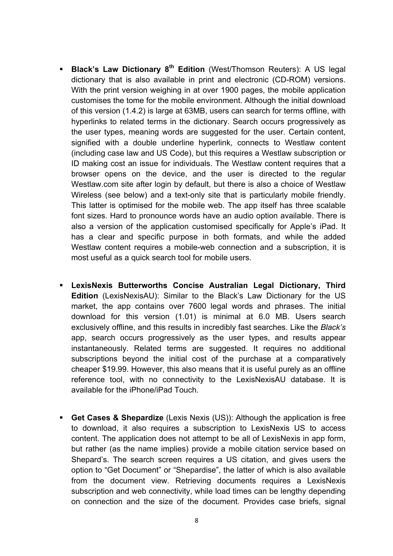- **Black's Law Dictionary 8th Edition** (West/Thomson Reuters): A US legal dictionary that is also available in print and electronic (CD-ROM) versions. With the print version weighing in at over 1900 pages, the mobile application customises the tome for the mobile environment. Although the initial download of this version (1.4.2) is large at 63MB, users can search for terms offline, with hyperlinks to related terms in the dictionary. Search occurs progressively as the user types, meaning words are suggested for the user. Certain content, signified with a double underline hyperlink, connects to Westlaw content (including case law and US Code), but this requires a Westlaw subscription or ID making cost an issue for individuals. The Westlaw content requires that a browser opens on the device, and the user is directed to the regular Westlaw.com site after login by default, but there is also a choice of Westlaw Wireless (see below) and a text-only site that is particularly mobile friendly. This latter is optimised for the mobile web. The app itself has three scalable font sizes. Hard to pronounce words have an audio option available. There is also a version of the application customised specifically for Apple's iPad. It has a clear and specific purpose in both formats, and while the added Westlaw content requires a mobile-web connection and a subscription, it is most useful as a quick search tool for mobile users.
- **LexisNexis Butterworths Concise Australian Legal Dictionary, Third Edition** (LexisNexisAU): Similar to the Black's Law Dictionary for the US market, the app contains over 7600 legal words and phrases. The initial download for this version (1.01) is minimal at 6.0 MB. Users search exclusively offline, and this results in incredibly fast searches. Like the *Black's*  app, search occurs progressively as the user types, and results appear instantaneously. Related terms are suggested. It requires no additional subscriptions beyond the initial cost of the purchase at a comparatively cheaper \$19.99. However, this also means that it is useful purely as an offline reference tool, with no connectivity to the LexisNexisAU database. It is available for the iPhone/iPad Touch.
- **Get Cases & Shepardize** (Lexis Nexis (US)): Although the application is free to download, it also requires a subscription to LexisNexis US to access content. The application does not attempt to be all of LexisNexis in app form, but rather (as the name implies) provide a mobile citation service based on Shepard's. The search screen requires a US citation, and gives users the option to "Get Document" or "Shepardise", the latter of which is also available from the document view. Retrieving documents requires a LexisNexis subscription and web connectivity, while load times can be lengthy depending on connection and the size of the document. Provides case briefs, signal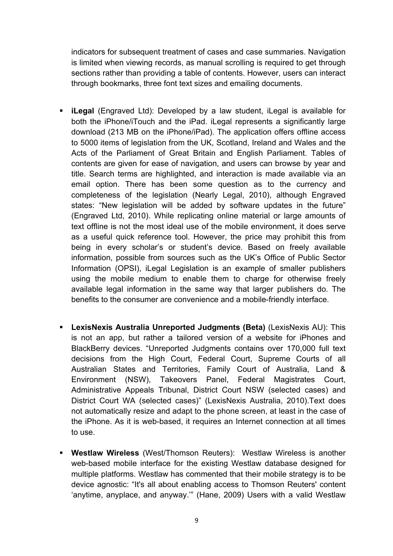indicators for subsequent treatment of cases and case summaries. Navigation is limited when viewing records, as manual scrolling is required to get through sections rather than providing a table of contents. However, users can interact through bookmarks, three font text sizes and emailing documents.

- **iLegal** (Engraved Ltd): Developed by a law student, iLegal is available for both the iPhone/iTouch and the iPad. iLegal represents a significantly large download (213 MB on the iPhone/iPad). The application offers offline access to 5000 items of legislation from the UK, Scotland, Ireland and Wales and the Acts of the Parliament of Great Britain and English Parliament. Tables of contents are given for ease of navigation, and users can browse by year and title. Search terms are highlighted, and interaction is made available via an email option. There has been some question as to the currency and completeness of the legislation (Nearly Legal, 2010), although Engraved states: "New legislation will be added by software updates in the future" (Engraved Ltd, 2010). While replicating online material or large amounts of text offline is not the most ideal use of the mobile environment, it does serve as a useful quick reference tool. However, the price may prohibit this from being in every scholar's or student's device. Based on freely available information, possible from sources such as the UK's Office of Public Sector Information (OPSI), iLegal Legislation is an example of smaller publishers using the mobile medium to enable them to charge for otherwise freely available legal information in the same way that larger publishers do. The benefits to the consumer are convenience and a mobile-friendly interface.
- **LexisNexis Australia Unreported Judgments (Beta)** (LexisNexis AU): This is not an app, but rather a tailored version of a website for iPhones and BlackBerry devices. "Unreported Judgments contains over 170,000 full text decisions from the High Court, Federal Court, Supreme Courts of all Australian States and Territories, Family Court of Australia, Land & Environment (NSW), Takeovers Panel, Federal Magistrates Court, Administrative Appeals Tribunal, District Court NSW (selected cases) and District Court WA (selected cases)" (LexisNexis Australia, 2010).Text does not automatically resize and adapt to the phone screen, at least in the case of the iPhone. As it is web-based, it requires an Internet connection at all times to use.
- **Westlaw Wireless** (West/Thomson Reuters): Westlaw Wireless is another web-based mobile interface for the existing Westlaw database designed for multiple platforms. Westlaw has commented that their mobile strategy is to be device agnostic: "It's all about enabling access to Thomson Reuters' content 'anytime, anyplace, and anyway.'" (Hane, 2009) Users with a valid Westlaw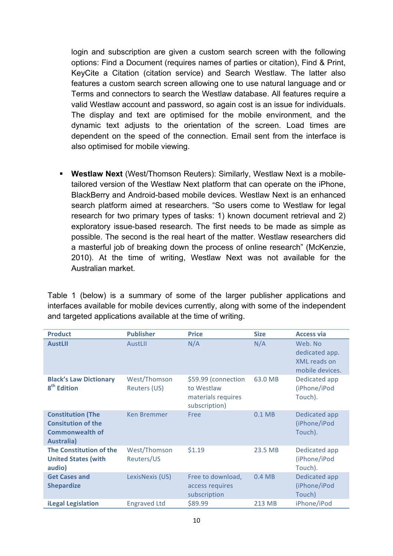login and subscription are given a custom search screen with the following options: Find a Document (requires names of parties or citation), Find & Print, KeyCite a Citation (citation service) and Search Westlaw. The latter also features a custom search screen allowing one to use natural language and or Terms and connectors to search the Westlaw database. All features require a valid Westlaw account and password, so again cost is an issue for individuals. The display and text are optimised for the mobile environment, and the dynamic text adjusts to the orientation of the screen. Load times are dependent on the speed of the connection. Email sent from the interface is also optimised for mobile viewing.

 **Westlaw Next** (West/Thomson Reuters): Similarly, Westlaw Next is a mobiletailored version of the Westlaw Next platform that can operate on the iPhone, BlackBerry and Android-based mobile devices. Westlaw Next is an enhanced search platform aimed at researchers. "So users come to Westlaw for legal research for two primary types of tasks: 1) known document retrieval and 2) exploratory issue-based research. The first needs to be made as simple as possible. The second is the real heart of the matter. Westlaw researchers did a masterful job of breaking down the process of online research" (McKenzie, 2010). At the time of writing, Westlaw Next was not available for the Australian market.

Table 1 (below) is a summary of some of the larger publisher applications and interfaces available for mobile devices currently, along with some of the independent and targeted applications available at the time of writing.

| <b>Product</b>                                                                                       | <b>Publisher</b>             | <b>Price</b>                                                             | <b>Size</b>       | <b>Access via</b>                                            |
|------------------------------------------------------------------------------------------------------|------------------------------|--------------------------------------------------------------------------|-------------------|--------------------------------------------------------------|
| <b>AustLII</b>                                                                                       | <b>AustLII</b>               | N/A                                                                      | N/A               | Web. No<br>dedicated app.<br>XML reads on<br>mobile devices. |
| <b>Black's Law Dictionary</b><br>8 <sup>th</sup> Edition                                             | West/Thomson<br>Reuters (US) | \$59.99 (connection<br>to Westlaw<br>materials requires<br>subscription) | 63.0 MB           | Dedicated app<br>(iPhone/iPod<br>Touch).                     |
| <b>Constitution (The</b><br><b>Consitution of the</b><br><b>Commonwealth of</b><br><b>Australia)</b> | <b>Ken Bremmer</b>           | Free                                                                     | 0.1 <sub>MB</sub> | Dedicated app<br>(iPhone/iPod<br>Touch).                     |
| The Constitution of the<br><b>United States (with</b><br>audio)                                      | West/Thomson<br>Reuters/US   | \$1.19                                                                   | 23.5 MB           | Dedicated app<br>(iPhone/iPod<br>Touch).                     |
| <b>Get Cases and</b><br><b>Shepardize</b>                                                            | LexisNexis (US)              | Free to download,<br>access requires<br>subscription                     | 0.4MB             | Dedicated app<br>(iPhone/iPod<br>Touch)                      |
| <b>iLegal Legislation</b>                                                                            | <b>Engraved Ltd</b>          | \$89.99                                                                  | 213 MB            | iPhone/iPod                                                  |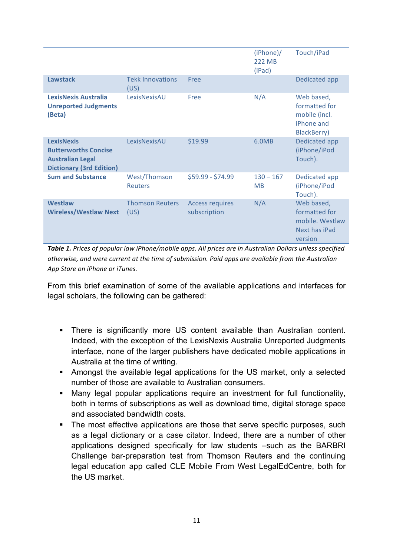|                                                                                                                |                                 |                                        | (iPhone)<br><b>222 MB</b><br>(iPad) | Touch/iPad                                                                 |
|----------------------------------------------------------------------------------------------------------------|---------------------------------|----------------------------------------|-------------------------------------|----------------------------------------------------------------------------|
| <b>Lawstack</b>                                                                                                | <b>Tekk Innovations</b><br>(US) | Free                                   |                                     | Dedicated app                                                              |
| LexisNexis Australia<br><b>Unreported Judgments</b><br>(Beta)                                                  | LexisNexisAU                    | Free                                   | N/A                                 | Web based,<br>formatted for<br>mobile (incl.<br>iPhone and<br>BlackBerry)  |
| <b>LexisNexis</b><br><b>Butterworths Concise</b><br><b>Australian Legal</b><br><b>Dictionary (3rd Edition)</b> | LexisNexisAU                    | \$19.99                                | 6.0MB                               | Dedicated app<br>(iPhone/iPod<br>Touch).                                   |
| <b>Sum and Substance</b>                                                                                       | West/Thomson<br><b>Reuters</b>  | $$59.99 - $74.99$                      | $130 - 167$<br><b>MB</b>            | Dedicated app<br>(iPhone/iPod<br>Touch).                                   |
| <b>Westlaw</b><br><b>Wireless/Westlaw Next</b>                                                                 | <b>Thomson Reuters</b><br>(US)  | <b>Access requires</b><br>subscription | N/A                                 | Web based,<br>formatted for<br>mobile. Westlaw<br>Next has iPad<br>version |

Table 1. Prices of popular law iPhone/mobile apps. All prices are in Australian Dollars unless specified otherwise, and were current at the time of submission. Paid apps are available from the Australian App Store on iPhone or iTunes.

From this brief examination of some of the available applications and interfaces for legal scholars, the following can be gathered:

- There is significantly more US content available than Australian content. Indeed, with the exception of the LexisNexis Australia Unreported Judgments interface, none of the larger publishers have dedicated mobile applications in Australia at the time of writing.
- Amongst the available legal applications for the US market, only a selected number of those are available to Australian consumers.
- Many legal popular applications require an investment for full functionality, both in terms of subscriptions as well as download time, digital storage space and associated bandwidth costs.
- The most effective applications are those that serve specific purposes, such as a legal dictionary or a case citator. Indeed, there are a number of other applications designed specifically for law students –such as the BARBRI Challenge bar-preparation test from Thomson Reuters and the continuing legal education app called CLE Mobile From West LegalEdCentre, both for the US market.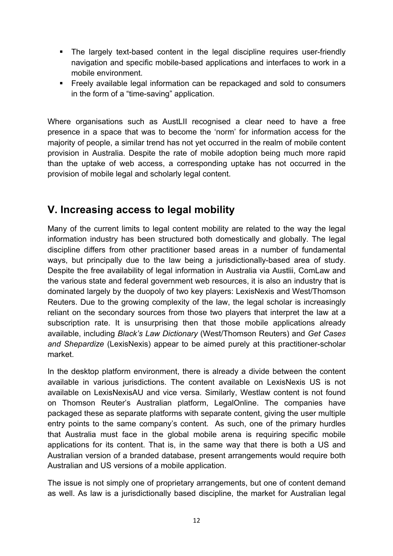- The largely text-based content in the legal discipline requires user-friendly navigation and specific mobile-based applications and interfaces to work in a mobile environment.
- Freely available legal information can be repackaged and sold to consumers in the form of a "time-saving" application.

Where organisations such as AustLII recognised a clear need to have a free presence in a space that was to become the 'norm' for information access for the majority of people, a similar trend has not yet occurred in the realm of mobile content provision in Australia. Despite the rate of mobile adoption being much more rapid than the uptake of web access, a corresponding uptake has not occurred in the provision of mobile legal and scholarly legal content.

### **V. Increasing access to legal mobility**

Many of the current limits to legal content mobility are related to the way the legal information industry has been structured both domestically and globally. The legal discipline differs from other practitioner based areas in a number of fundamental ways, but principally due to the law being a jurisdictionally-based area of study. Despite the free availability of legal information in Australia via Austlii, ComLaw and the various state and federal government web resources, it is also an industry that is dominated largely by the duopoly of two key players: LexisNexis and West/Thomson Reuters. Due to the growing complexity of the law, the legal scholar is increasingly reliant on the secondary sources from those two players that interpret the law at a subscription rate. It is unsurprising then that those mobile applications already available, including *Black's Law Dictionary* (West/Thomson Reuters) and *Get Cases and Shepardize* (LexisNexis) appear to be aimed purely at this practitioner-scholar market.

In the desktop platform environment, there is already a divide between the content available in various jurisdictions. The content available on LexisNexis US is not available on LexisNexisAU and vice versa. Similarly, Westlaw content is not found on Thomson Reuter's Australian platform, LegalOnline. The companies have packaged these as separate platforms with separate content, giving the user multiple entry points to the same company's content. As such, one of the primary hurdles that Australia must face in the global mobile arena is requiring specific mobile applications for its content. That is, in the same way that there is both a US and Australian version of a branded database, present arrangements would require both Australian and US versions of a mobile application.

The issue is not simply one of proprietary arrangements, but one of content demand as well. As law is a jurisdictionally based discipline, the market for Australian legal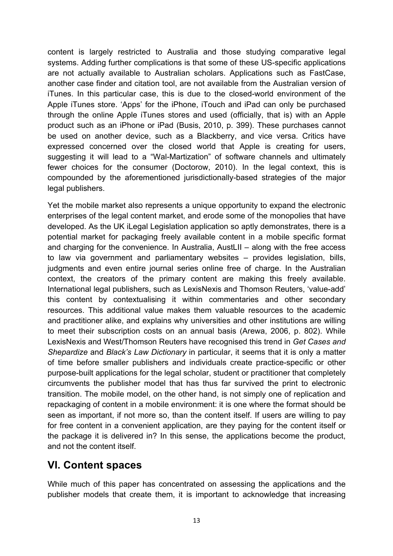content is largely restricted to Australia and those studying comparative legal systems. Adding further complications is that some of these US-specific applications are not actually available to Australian scholars. Applications such as FastCase, another case finder and citation tool, are not available from the Australian version of iTunes. In this particular case, this is due to the closed-world environment of the Apple iTunes store. 'Apps' for the iPhone, iTouch and iPad can only be purchased through the online Apple iTunes stores and used (officially, that is) with an Apple product such as an iPhone or iPad (Busis, 2010, p. 399). These purchases cannot be used on another device, such as a Blackberry, and vice versa. Critics have expressed concerned over the closed world that Apple is creating for users, suggesting it will lead to a "Wal-Martization" of software channels and ultimately fewer choices for the consumer (Doctorow, 2010). In the legal context, this is compounded by the aforementioned jurisdictionally-based strategies of the major legal publishers.

Yet the mobile market also represents a unique opportunity to expand the electronic enterprises of the legal content market, and erode some of the monopolies that have developed. As the UK iLegal Legislation application so aptly demonstrates, there is a potential market for packaging freely available content in a mobile specific format and charging for the convenience. In Australia, AustLII – along with the free access to law via government and parliamentary websites – provides legislation, bills, judgments and even entire journal series online free of charge. In the Australian context, the creators of the primary content are making this freely available. International legal publishers, such as LexisNexis and Thomson Reuters, 'value-add' this content by contextualising it within commentaries and other secondary resources. This additional value makes them valuable resources to the academic and practitioner alike, and explains why universities and other institutions are willing to meet their subscription costs on an annual basis (Arewa, 2006, p. 802). While LexisNexis and West/Thomson Reuters have recognised this trend in *Get Cases and Shepardize* and *Black's Law Dictionary* in particular, it seems that it is only a matter of time before smaller publishers and individuals create practice-specific or other purpose-built applications for the legal scholar, student or practitioner that completely circumvents the publisher model that has thus far survived the print to electronic transition. The mobile model, on the other hand, is not simply one of replication and repackaging of content in a mobile environment: it is one where the format should be seen as important, if not more so, than the content itself. If users are willing to pay for free content in a convenient application, are they paying for the content itself or the package it is delivered in? In this sense, the applications become the product, and not the content itself.

### **VI. Content spaces**

While much of this paper has concentrated on assessing the applications and the publisher models that create them, it is important to acknowledge that increasing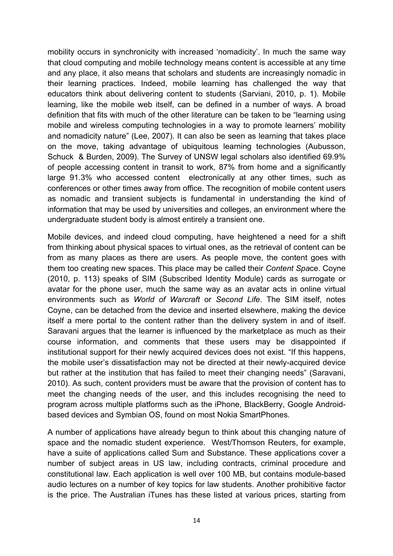mobility occurs in synchronicity with increased 'nomadicity'. In much the same way that cloud computing and mobile technology means content is accessible at any time and any place, it also means that scholars and students are increasingly nomadic in their learning practices. Indeed, mobile learning has challenged the way that educators think about delivering content to students (Sarviani, 2010, p. 1). Mobile learning, like the mobile web itself, can be defined in a number of ways. A broad definition that fits with much of the other literature can be taken to be "learning using mobile and wireless computing technologies in a way to promote learners' mobility and nomadicity nature" (Lee, 2007). It can also be seen as learning that takes place on the move, taking advantage of ubiquitous learning technologies (Aubusson, Schuck & Burden, 2009). The Survey of UNSW legal scholars also identified 69.9% of people accessing content in transit to work, 87% from home and a significantly large 91.3% who accessed content electronically at any other times, such as conferences or other times away from office. The recognition of mobile content users as nomadic and transient subjects is fundamental in understanding the kind of information that may be used by universities and colleges, an environment where the undergraduate student body is almost entirely a transient one.

Mobile devices, and indeed cloud computing, have heightened a need for a shift from thinking about physical spaces to virtual ones, as the retrieval of content can be from as many places as there are users. As people move, the content goes with them too creating new spaces. This place may be called their *Content Spa*ce. Coyne (2010, p. 113) speaks of SIM (Subscribed Identity Module) cards as surrogate or avatar for the phone user, much the same way as an avatar acts in online virtual environments such as *World of Warcraft* or *Second Life*. The SIM itself, notes Coyne, can be detached from the device and inserted elsewhere, making the device itself a mere portal to the content rather than the delivery system in and of itself. Saravani argues that the learner is influenced by the marketplace as much as their course information, and comments that these users may be disappointed if institutional support for their newly acquired devices does not exist. "If this happens, the mobile user's dissatisfaction may not be directed at their newly-acquired device but rather at the institution that has failed to meet their changing needs" (Saravani, 2010). As such, content providers must be aware that the provision of content has to meet the changing needs of the user, and this includes recognising the need to program across multiple platforms such as the iPhone, BlackBerry, Google Androidbased devices and Symbian OS, found on most Nokia SmartPhones.

A number of applications have already begun to think about this changing nature of space and the nomadic student experience. West/Thomson Reuters, for example, have a suite of applications called Sum and Substance. These applications cover a number of subject areas in US law, including contracts, criminal procedure and constitutional law. Each application is well over 100 MB, but contains module-based audio lectures on a number of key topics for law students. Another prohibitive factor is the price. The Australian iTunes has these listed at various prices, starting from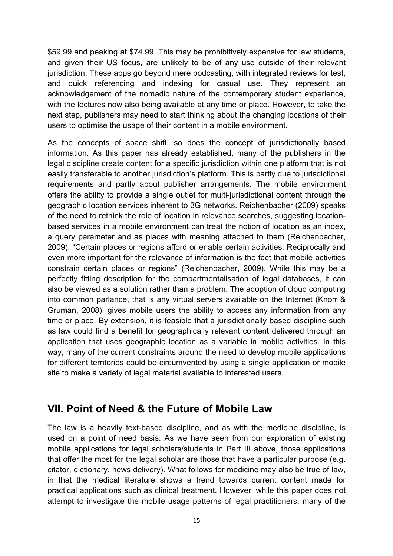\$59.99 and peaking at \$74.99. This may be prohibitively expensive for law students, and given their US focus, are unlikely to be of any use outside of their relevant jurisdiction. These apps go beyond mere podcasting, with integrated reviews for test, and quick referencing and indexing for casual use. They represent an acknowledgement of the nomadic nature of the contemporary student experience, with the lectures now also being available at any time or place. However, to take the next step, publishers may need to start thinking about the changing locations of their users to optimise the usage of their content in a mobile environment.

As the concepts of space shift, so does the concept of jurisdictionally based information. As this paper has already established, many of the publishers in the legal discipline create content for a specific jurisdiction within one platform that is not easily transferable to another jurisdiction's platform. This is partly due to jurisdictional requirements and partly about publisher arrangements. The mobile environment offers the ability to provide a single outlet for multi-jurisdictional content through the geographic location services inherent to 3G networks. Reichenbacher (2009) speaks of the need to rethink the role of location in relevance searches, suggesting locationbased services in a mobile environment can treat the notion of location as an index, a query parameter and as places with meaning attached to them (Reichenbacher, 2009). "Certain places or regions afford or enable certain activities. Reciprocally and even more important for the relevance of information is the fact that mobile activities constrain certain places or regions" (Reichenbacher, 2009). While this may be a perfectly fitting description for the compartmentalisation of legal databases, it can also be viewed as a solution rather than a problem. The adoption of cloud computing into common parlance, that is any virtual servers available on the Internet (Knorr & Gruman, 2008), gives mobile users the ability to access any information from any time or place. By extension, it is feasible that a jurisdictionally based discipline such as law could find a benefit for geographically relevant content delivered through an application that uses geographic location as a variable in mobile activities. In this way, many of the current constraints around the need to develop mobile applications for different territories could be circumvented by using a single application or mobile site to make a variety of legal material available to interested users.

### **VII. Point of Need & the Future of Mobile Law**

The law is a heavily text-based discipline, and as with the medicine discipline, is used on a point of need basis. As we have seen from our exploration of existing mobile applications for legal scholars/students in Part III above, those applications that offer the most for the legal scholar are those that have a particular purpose (e.g. citator, dictionary, news delivery). What follows for medicine may also be true of law, in that the medical literature shows a trend towards current content made for practical applications such as clinical treatment. However, while this paper does not attempt to investigate the mobile usage patterns of legal practitioners, many of the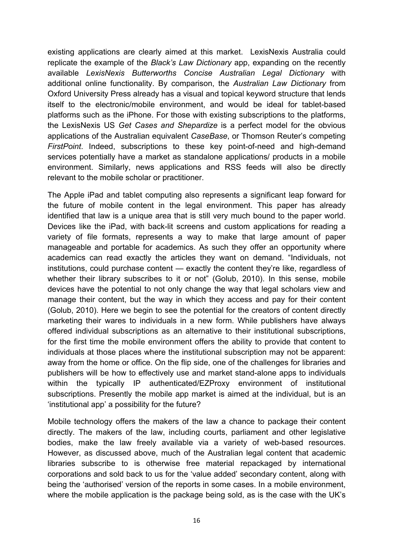existing applications are clearly aimed at this market. LexisNexis Australia could replicate the example of the *Black's Law Dictionary* app, expanding on the recently available *LexisNexis Butterworths Concise Australian Legal Dictionary* with additional online functionality. By comparison, the *Australian Law Dictionary* from Oxford University Press already has a visual and topical keyword structure that lends itself to the electronic/mobile environment, and would be ideal for tablet-based platforms such as the iPhone. For those with existing subscriptions to the platforms, the LexisNexis US *Get Cases and Shepardize* is a perfect model for the obvious applications of the Australian equivalent *CaseBase*, or Thomson Reuter's competing *FirstPoint*. Indeed, subscriptions to these key point-of-need and high-demand services potentially have a market as standalone applications/ products in a mobile environment. Similarly, news applications and RSS feeds will also be directly relevant to the mobile scholar or practitioner.

The Apple iPad and tablet computing also represents a significant leap forward for the future of mobile content in the legal environment. This paper has already identified that law is a unique area that is still very much bound to the paper world. Devices like the iPad, with back-lit screens and custom applications for reading a variety of file formats, represents a way to make that large amount of paper manageable and portable for academics. As such they offer an opportunity where academics can read exactly the articles they want on demand. "Individuals, not institutions, could purchase content — exactly the content they're like, regardless of whether their library subscribes to it or not" (Golub, 2010). In this sense, mobile devices have the potential to not only change the way that legal scholars view and manage their content, but the way in which they access and pay for their content (Golub, 2010). Here we begin to see the potential for the creators of content directly marketing their wares to individuals in a new form. While publishers have always offered individual subscriptions as an alternative to their institutional subscriptions, for the first time the mobile environment offers the ability to provide that content to individuals at those places where the institutional subscription may not be apparent: away from the home or office. On the flip side, one of the challenges for libraries and publishers will be how to effectively use and market stand-alone apps to individuals within the typically IP authenticated/EZProxy environment of institutional subscriptions. Presently the mobile app market is aimed at the individual, but is an 'institutional app' a possibility for the future?

Mobile technology offers the makers of the law a chance to package their content directly. The makers of the law, including courts, parliament and other legislative bodies, make the law freely available via a variety of web-based resources. However, as discussed above, much of the Australian legal content that academic libraries subscribe to is otherwise free material repackaged by international corporations and sold back to us for the 'value added' secondary content, along with being the 'authorised' version of the reports in some cases. In a mobile environment, where the mobile application is the package being sold, as is the case with the UK's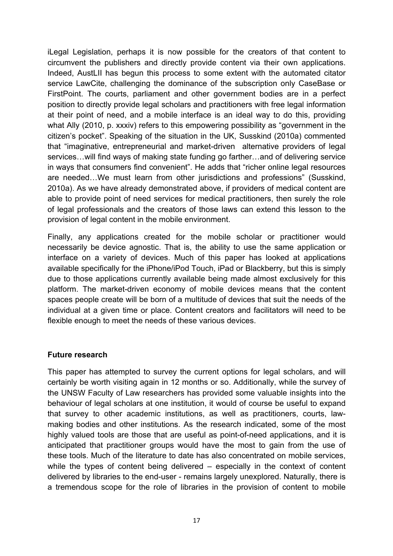iLegal Legislation, perhaps it is now possible for the creators of that content to circumvent the publishers and directly provide content via their own applications. Indeed, AustLII has begun this process to some extent with the automated citator service LawCite, challenging the dominance of the subscription only CaseBase or FirstPoint. The courts, parliament and other government bodies are in a perfect position to directly provide legal scholars and practitioners with free legal information at their point of need, and a mobile interface is an ideal way to do this, providing what Ally (2010, p. xxxiv) refers to this empowering possibility as "government in the citizen's pocket". Speaking of the situation in the UK, Susskind (2010a) commented that "imaginative, entrepreneurial and market-driven alternative providers of legal services…will find ways of making state funding go farther…and of delivering service in ways that consumers find convenient". He adds that "richer online legal resources are needed…We must learn from other jurisdictions and professions" (Susskind, 2010a). As we have already demonstrated above, if providers of medical content are able to provide point of need services for medical practitioners, then surely the role of legal professionals and the creators of those laws can extend this lesson to the provision of legal content in the mobile environment.

Finally, any applications created for the mobile scholar or practitioner would necessarily be device agnostic. That is, the ability to use the same application or interface on a variety of devices. Much of this paper has looked at applications available specifically for the iPhone/iPod Touch, iPad or Blackberry, but this is simply due to those applications currently available being made almost exclusively for this platform. The market-driven economy of mobile devices means that the content spaces people create will be born of a multitude of devices that suit the needs of the individual at a given time or place. Content creators and facilitators will need to be flexible enough to meet the needs of these various devices.

#### **Future research**

This paper has attempted to survey the current options for legal scholars, and will certainly be worth visiting again in 12 months or so. Additionally, while the survey of the UNSW Faculty of Law researchers has provided some valuable insights into the behaviour of legal scholars at one institution, it would of course be useful to expand that survey to other academic institutions, as well as practitioners, courts, lawmaking bodies and other institutions. As the research indicated, some of the most highly valued tools are those that are useful as point-of-need applications, and it is anticipated that practitioner groups would have the most to gain from the use of these tools. Much of the literature to date has also concentrated on mobile services, while the types of content being delivered – especially in the context of content delivered by libraries to the end-user - remains largely unexplored. Naturally, there is a tremendous scope for the role of libraries in the provision of content to mobile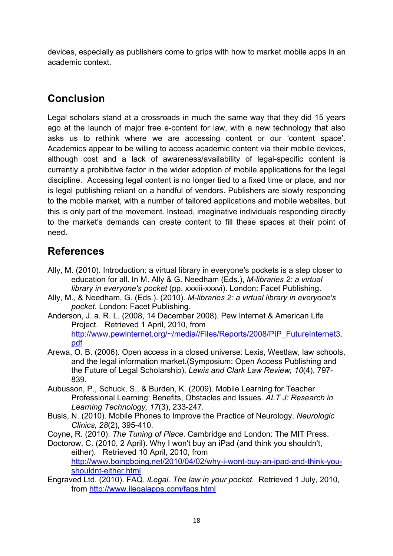devices, especially as publishers come to grips with how to market mobile apps in an academic context.

## **Conclusion**

Legal scholars stand at a crossroads in much the same way that they did 15 years ago at the launch of major free e-content for law, with a new technology that also asks us to rethink where we are accessing content or our 'content space'. Academics appear to be willing to access academic content via their mobile devices, although cost and a lack of awareness/availability of legal-specific content is currently a prohibitive factor in the wider adoption of mobile applications for the legal discipline. Accessing legal content is no longer tied to a fixed time or place, and nor is legal publishing reliant on a handful of vendors. Publishers are slowly responding to the mobile market, with a number of tailored applications and mobile websites, but this is only part of the movement. Instead, imaginative individuals responding directly to the market's demands can create content to fill these spaces at their point of need.

### **References**

- Ally, M. (2010). Introduction: a virtual library in everyone's pockets is a step closer to education for all. In M. Ally & G. Needham (Eds.), *M-libraries 2: a virtual library in everyone's pocket* (pp. xxxiii-xxxvi). London: Facet Publishing.
- Ally, M., & Needham, G. (Eds.). (2010). *M-libraries 2: a virtual library in everyone's pocket*. London: Facet Publishing.
- Anderson, J. a. R. L. (2008, 14 December 2008). Pew Internet & American Life Project. Retrieved 1 April, 2010, from http://www.pewinternet.org/~/media//Files/Reports/2008/PIP\_FutureInternet3. pdf
- Arewa, O. B. (2006). Open access in a closed universe: Lexis, Westlaw, law schools, and the legal information market.(Symposium: Open Access Publishing and the Future of Legal Scholarship). *Lewis and Clark Law Review, 10*(4), 797- 839.
- Aubusson, P., Schuck, S., & Burden, K. (2009). Mobile Learning for Teacher Professional Learning: Benefits, Obstacles and Issues. *ALT J: Research in Learning Technology, 17*(3), 233-247.
- Busis, N. (2010). Mobile Phones to Improve the Practice of Neurology. *Neurologic Clinics, 28*(2), 395-410.

Coyne, R. (2010). *The Tuning of Place*. Cambridge and London: The MIT Press.

- Doctorow, C. (2010, 2 April). Why I won't buy an iPad (and think you shouldn't, either). Retrieved 10 April, 2010, from http://www.boingboing.net/2010/04/02/why-i-wont-buy-an-ipad-and-think-youshouldnt-either.html
- Engraved Ltd. (2010). FAQ. *iLegal. The law in your pocket.* Retrieved 1 July, 2010, from http://www.ilegalapps.com/faqs.html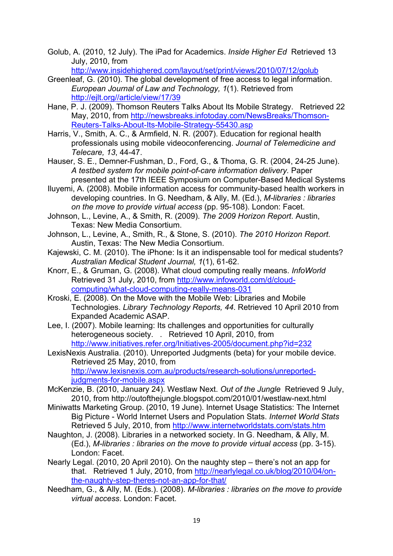Golub, A. (2010, 12 July). The iPad for Academics. *Inside Higher Ed* Retrieved 13 July, 2010, from

http://www.insidehighered.com/layout/set/print/views/2010/07/12/golub

- Greenleaf, G. (2010). The global development of free access to legal information. *European Journal of Law and Technology, 1*(1). Retrieved from http://ejlt.org//article/view/17/39
- Hane, P. J. (2009). Thomson Reuters Talks About Its Mobile Strategy. Retrieved 22 May, 2010, from http://newsbreaks.infotoday.com/NewsBreaks/Thomson-Reuters-Talks-About-Its-Mobile-Strategy-55430.asp
- Harris, V., Smith, A. C., & Armfield, N. R. (2007). Education for regional health professionals using mobile videoconferencing. *Journal of Telemedicine and Telecare, 13*, 44-47.
- Hauser, S. E., Demner-Fushman, D., Ford, G., & Thoma, G. R. (2004, 24-25 June). *A testbed system for mobile point-of-care information delivery.* Paper presented at the 17th IEEE Symposium on Computer-Based Medical Systems
- Iluyemi, A. (2008). Mobile information access for community-based health workers in developing countries. In G. Needham, & Ally, M. (Ed.), *M-libraries : libraries on the move to provide virtual access* (pp. 95-108). London: Facet.
- Johnson, L., Levine, A., & Smith, R. (2009). *The 2009 Horizon Report*. Austin, Texas: New Media Consortium.
- Johnson, L., Levine, A., Smith, R., & Stone, S. (2010). *The 2010 Horizon Report*. Austin, Texas: The New Media Consortium.
- Kajewski, C. M. (2010). The iPhone: Is it an indispensable tool for medical students? *Australian Medical Student Journal, 1*(1), 61-62.
- Knorr, E., & Gruman, G. (2008). What cloud computing really means. *InfoWorld* Retrieved 31 July, 2010, from http://www.infoworld.com/d/cloudcomputing/what-cloud-computing-really-means-031
- Kroski, E. (2008). On the Move with the Mobile Web: Libraries and Mobile Technologies. *Library Technology Reports, 44*. Retrieved 10 April 2010 from Expanded Academic ASAP.
- Lee, I. (2007). Mobile learning: Its challenges and opportunities for culturally heterogeneous society. . Retrieved 10 April, 2010, from http://www.initiatives.refer.org/Initiatives-2005/document.php?id=232
- LexisNexis Australia. (2010). Unreported Judgments (beta) for your mobile device. Retrieved 25 May, 2010, from http://www.lexisnexis.com.au/products/research-solutions/unreportedjudgments-for-mobile.aspx
- McKenzie, B. (2010, January 24). Westlaw Next. *Out of the Jungle* Retrieved 9 July, 2010, from http://outofthejungle.blogspot.com/2010/01/westlaw-next.html
- Miniwatts Marketing Group. (2010, 19 June). Internet Usage Statistics: The Internet Big Picture - World Internet Users and Population Stats. *Internet World Stats* Retrieved 5 July, 2010, from http://www.internetworldstats.com/stats.htm
- Naughton, J. (2008). Libraries in a networked society. In G. Needham, & Ally, M. (Ed.), *M-libraries : libraries on the move to provide virtual access* (pp. 3-15). London: Facet.
- Nearly Legal. (2010, 20 April 2010). On the naughty step there's not an app for that. Retrieved 1 July, 2010, from http://nearlylegal.co.uk/blog/2010/04/onthe-naughty-step-theres-not-an-app-for-that/
- Needham, G., & Ally, M. (Eds.). (2008). *M-libraries : libraries on the move to provide virtual access*. London: Facet.